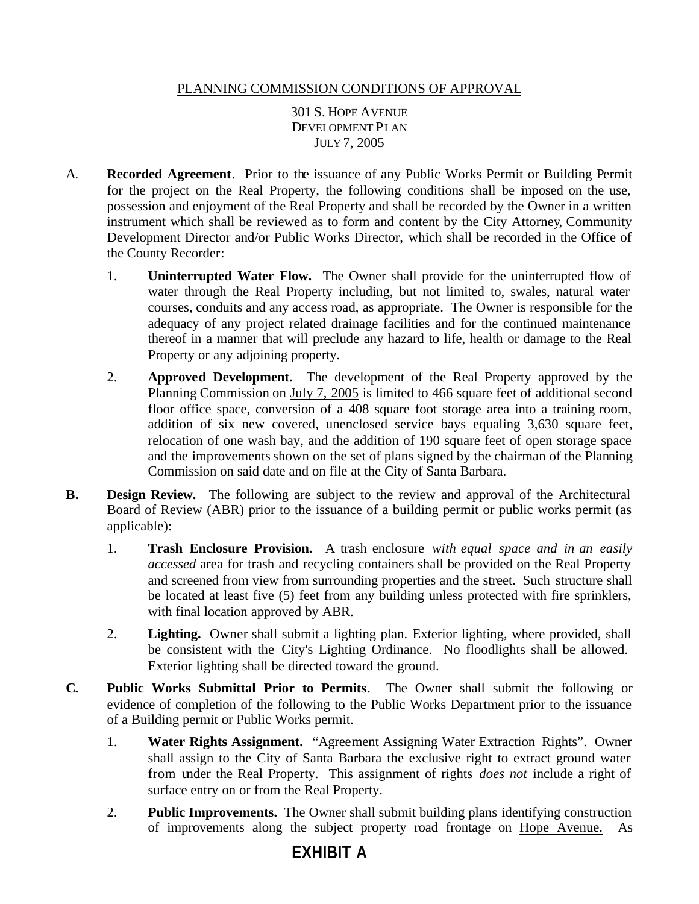## PLANNING COMMISSION CONDITIONS OF APPROVAL

301 S. HOPE AVENUE DEVELOPMENT PLAN JULY 7, 2005

- A. **Recorded Agreement**. Prior to the issuance of any Public Works Permit or Building Permit for the project on the Real Property, the following conditions shall be imposed on the use, possession and enjoyment of the Real Property and shall be recorded by the Owner in a written instrument which shall be reviewed as to form and content by the City Attorney, Community Development Director and/or Public Works Director, which shall be recorded in the Office of the County Recorder:
	- 1. **Uninterrupted Water Flow.** The Owner shall provide for the uninterrupted flow of water through the Real Property including, but not limited to, swales, natural water courses, conduits and any access road, as appropriate. The Owner is responsible for the adequacy of any project related drainage facilities and for the continued maintenance thereof in a manner that will preclude any hazard to life, health or damage to the Real Property or any adjoining property.
	- 2. **Approved Development.** The development of the Real Property approved by the Planning Commission on July 7, 2005 is limited to 466 square feet of additional second floor office space, conversion of a 408 square foot storage area into a training room, addition of six new covered, unenclosed service bays equaling 3,630 square feet, relocation of one wash bay, and the addition of 190 square feet of open storage space and the improvements shown on the set of plans signed by the chairman of the Planning Commission on said date and on file at the City of Santa Barbara.
- **B. Design Review.** The following are subject to the review and approval of the Architectural Board of Review (ABR) prior to the issuance of a building permit or public works permit (as applicable):
	- 1. **Trash Enclosure Provision.** A trash enclosure *with equal space and in an easily accessed* area for trash and recycling containers shall be provided on the Real Property and screened from view from surrounding properties and the street. Such structure shall be located at least five (5) feet from any building unless protected with fire sprinklers, with final location approved by ABR.
	- 2. **Lighting.** Owner shall submit a lighting plan. Exterior lighting, where provided, shall be consistent with the City's Lighting Ordinance. No floodlights shall be allowed. Exterior lighting shall be directed toward the ground.
- **C. Public Works Submittal Prior to Permits**. The Owner shall submit the following or evidence of completion of the following to the Public Works Department prior to the issuance of a Building permit or Public Works permit.
	- 1. **Water Rights Assignment.** "Agreement Assigning Water Extraction Rights". Owner shall assign to the City of Santa Barbara the exclusive right to extract ground water from under the Real Property. This assignment of rights *does not* include a right of surface entry on or from the Real Property.
	- 2. **Public Improvements.** The Owner shall submit building plans identifying construction of improvements along the subject property road frontage on Hope Avenue. As

## **EXHIBIT A**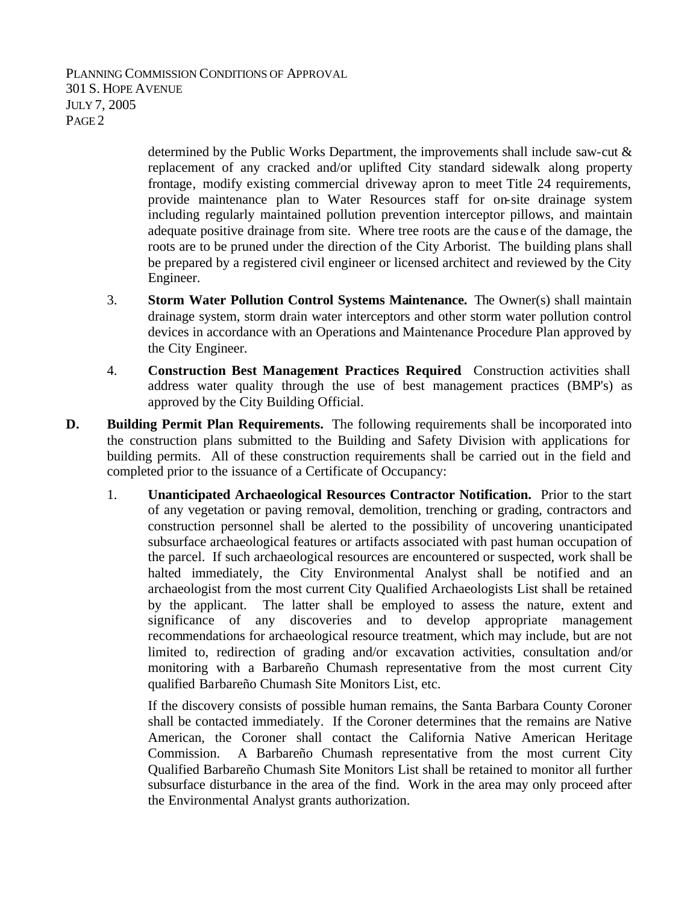PLANNING COMMISSION CONDITIONS OF APPROVAL 301 S. HOPE AVENUE JULY 7, 2005 PAGE 2

> determined by the Public Works Department, the improvements shall include saw-cut & replacement of any cracked and/or uplifted City standard sidewalk along property frontage, modify existing commercial driveway apron to meet Title 24 requirements, provide maintenance plan to Water Resources staff for on-site drainage system including regularly maintained pollution prevention interceptor pillows, and maintain adequate positive drainage from site. Where tree roots are the caus e of the damage, the roots are to be pruned under the direction of the City Arborist. The building plans shall be prepared by a registered civil engineer or licensed architect and reviewed by the City Engineer.

- 3. **Storm Water Pollution Control Systems Maintenance.** The Owner(s) shall maintain drainage system, storm drain water interceptors and other storm water pollution control devices in accordance with an Operations and Maintenance Procedure Plan approved by the City Engineer.
- 4. **Construction Best Management Practices Required**. Construction activities shall address water quality through the use of best management practices (BMP's) as approved by the City Building Official.
- **D.** Building Permit Plan Requirements. The following requirements shall be incorporated into the construction plans submitted to the Building and Safety Division with applications for building permits. All of these construction requirements shall be carried out in the field and completed prior to the issuance of a Certificate of Occupancy:
	- 1. **Unanticipated Archaeological Resources Contractor Notification.** Prior to the start of any vegetation or paving removal, demolition, trenching or grading, contractors and construction personnel shall be alerted to the possibility of uncovering unanticipated subsurface archaeological features or artifacts associated with past human occupation of the parcel. If such archaeological resources are encountered or suspected, work shall be halted immediately, the City Environmental Analyst shall be notified and an archaeologist from the most current City Qualified Archaeologists List shall be retained by the applicant. The latter shall be employed to assess the nature, extent and significance of any discoveries and to develop appropriate management recommendations for archaeological resource treatment, which may include, but are not limited to, redirection of grading and/or excavation activities, consultation and/or monitoring with a Barbareño Chumash representative from the most current City qualified Barbareño Chumash Site Monitors List, etc.

If the discovery consists of possible human remains, the Santa Barbara County Coroner shall be contacted immediately. If the Coroner determines that the remains are Native American, the Coroner shall contact the California Native American Heritage Commission. A Barbareño Chumash representative from the most current City Qualified Barbareño Chumash Site Monitors List shall be retained to monitor all further subsurface disturbance in the area of the find. Work in the area may only proceed after the Environmental Analyst grants authorization.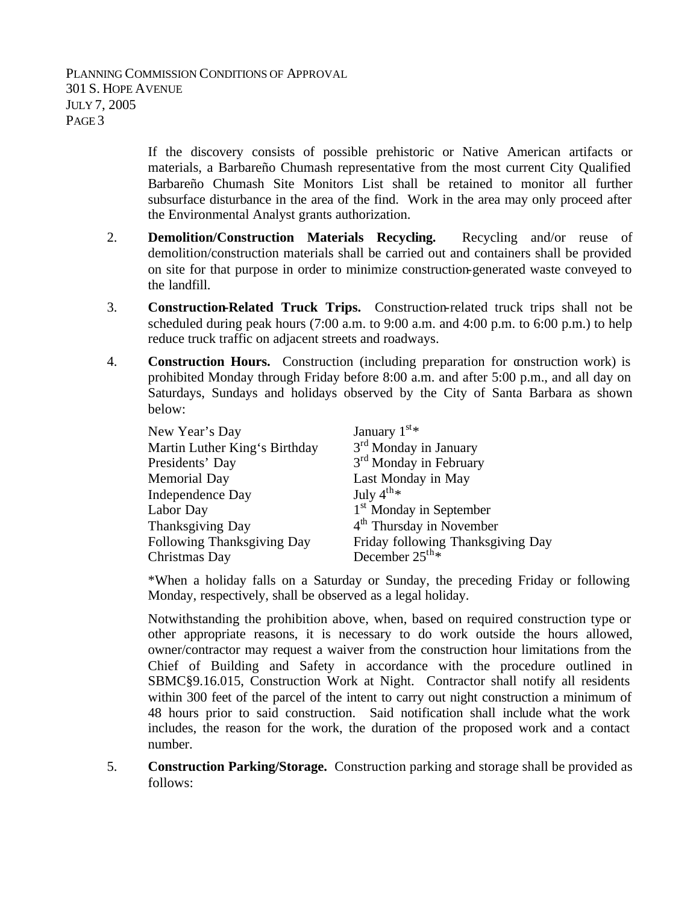If the discovery consists of possible prehistoric or Native American artifacts or materials, a Barbareño Chumash representative from the most current City Qualified Barbareño Chumash Site Monitors List shall be retained to monitor all further subsurface disturbance in the area of the find. Work in the area may only proceed after the Environmental Analyst grants authorization.

- 2. **Demolition/Construction Materials Recycling.** Recycling and/or reuse of demolition/construction materials shall be carried out and containers shall be provided on site for that purpose in order to minimize construction-generated waste conveyed to the landfill.
- 3. **Construction-Related Truck Trips.** Construction-related truck trips shall not be scheduled during peak hours  $(7:00 \text{ a.m.} \text{ to } 9:00 \text{ a.m.} \text{ and } 4:00 \text{ p.m.} \text{ to } 6:00 \text{ p.m.})$  to help reduce truck traffic on adjacent streets and roadways.
- 4. **Construction Hours.** Construction (including preparation for construction work) is prohibited Monday through Friday before 8:00 a.m. and after 5:00 p.m., and all day on Saturdays, Sundays and holidays observed by the City of Santa Barbara as shown below:

| New Year's Day                | January $1^{st*}$                   |
|-------------------------------|-------------------------------------|
| Martin Luther King's Birthday | 3 <sup>rd</sup> Monday in January   |
| Presidents' Day               | 3 <sup>rd</sup> Monday in February  |
| Memorial Day                  | Last Monday in May                  |
| Independence Day              | July $4^{th}$ *                     |
| Labor Day                     | 1 <sup>st</sup> Monday in September |
| Thanksgiving Day              | $4th$ Thursday in November          |
| Following Thanksgiving Day    | Friday following Thanksgiving Day   |
| Christmas Day                 | December $25^{\text{th}\,*}$        |

\*When a holiday falls on a Saturday or Sunday, the preceding Friday or following Monday, respectively, shall be observed as a legal holiday.

Notwithstanding the prohibition above, when, based on required construction type or other appropriate reasons, it is necessary to do work outside the hours allowed, owner/contractor may request a waiver from the construction hour limitations from the Chief of Building and Safety in accordance with the procedure outlined in SBMC§9.16.015, Construction Work at Night. Contractor shall notify all residents within 300 feet of the parcel of the intent to carry out night construction a minimum of 48 hours prior to said construction. Said notification shall include what the work includes, the reason for the work, the duration of the proposed work and a contact number.

5. **Construction Parking/Storage.** Construction parking and storage shall be provided as follows: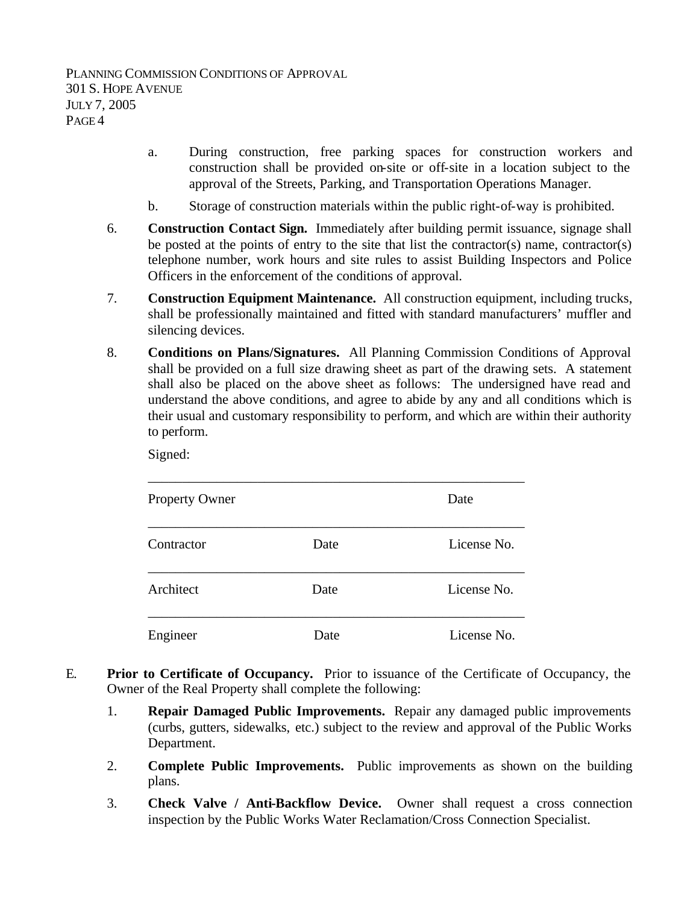- a. During construction, free parking spaces for construction workers and construction shall be provided on-site or off-site in a location subject to the approval of the Streets, Parking, and Transportation Operations Manager.
- b. Storage of construction materials within the public right-of-way is prohibited.
- 6. **Construction Contact Sign.** Immediately after building permit issuance, signage shall be posted at the points of entry to the site that list the contractor(s) name, contractor(s) telephone number, work hours and site rules to assist Building Inspectors and Police Officers in the enforcement of the conditions of approval.
- 7. **Construction Equipment Maintenance.** All construction equipment, including trucks, shall be professionally maintained and fitted with standard manufacturers' muffler and silencing devices.
- 8. **Conditions on Plans/Signatures.** All Planning Commission Conditions of Approval shall be provided on a full size drawing sheet as part of the drawing sets. A statement shall also be placed on the above sheet as follows: The undersigned have read and understand the above conditions, and agree to abide by any and all conditions which is their usual and customary responsibility to perform, and which are within their authority to perform.

Signed:

| <b>Property Owner</b> |      | Date        |
|-----------------------|------|-------------|
| Contractor            | Date | License No. |
| Architect             | Date | License No. |
| Engineer              | Date | License No. |

- E. **Prior to Certificate of Occupancy.** Prior to issuance of the Certificate of Occupancy, the Owner of the Real Property shall complete the following:
	- 1. **Repair Damaged Public Improvements.** Repair any damaged public improvements (curbs, gutters, sidewalks, etc.) subject to the review and approval of the Public Works Department.
	- 2. **Complete Public Improvements.** Public improvements as shown on the building plans.
	- 3. **Check Valve / Anti-Backflow Device.** Owner shall request a cross connection inspection by the Public Works Water Reclamation/Cross Connection Specialist.